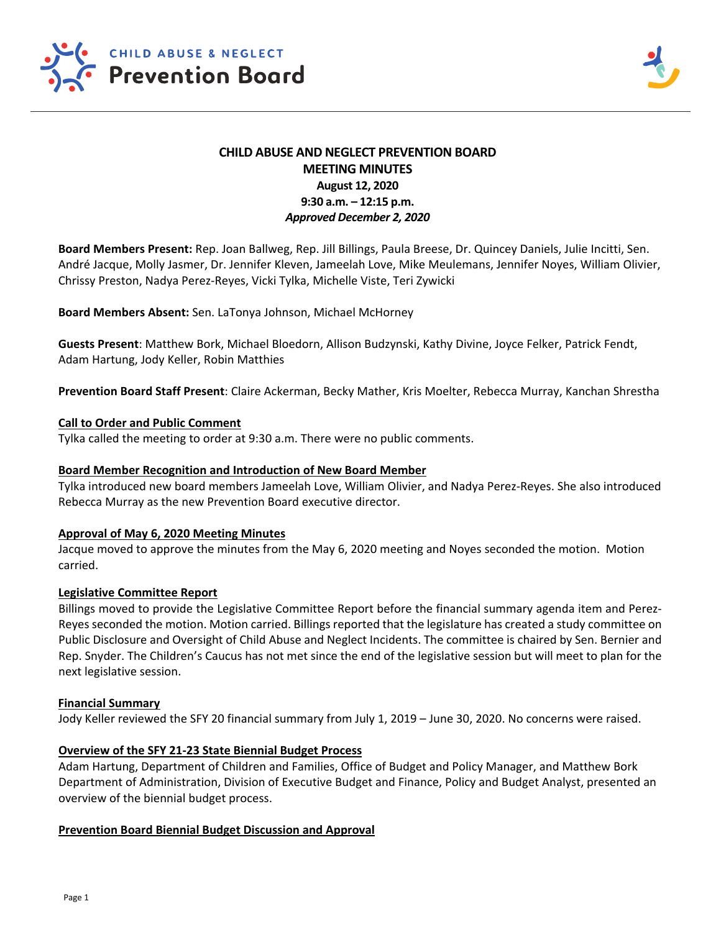

# **CHILD ABUSE AND NEGLECT PREVENTION BOARD MEETING MINUTES August 12, 2020 9:30 a.m. – 12:15 p.m.**  *Approved December 2, 2020*

**Board Members Present:** Rep. Joan Ballweg, Rep. Jill Billings, Paula Breese, Dr. Quincey Daniels, Julie Incitti, Sen. André Jacque, Molly Jasmer, Dr. Jennifer Kleven, Jameelah Love, Mike Meulemans, Jennifer Noyes, William Olivier, Chrissy Preston, Nadya Perez‐Reyes, Vicki Tylka, Michelle Viste, Teri Zywicki

**Board Members Absent:** Sen. LaTonya Johnson, Michael McHorney

**Guests Present**: Matthew Bork, Michael Bloedorn, Allison Budzynski, Kathy Divine, Joyce Felker, Patrick Fendt, Adam Hartung, Jody Keller, Robin Matthies

**Prevention Board Staff Present**: Claire Ackerman, Becky Mather, Kris Moelter, Rebecca Murray, Kanchan Shrestha

## **Call to Order and Public Comment**

Tylka called the meeting to order at 9:30 a.m. There were no public comments.

#### **Board Member Recognition and Introduction of New Board Member**

Tylka introduced new board members Jameelah Love, William Olivier, and Nadya Perez‐Reyes. She also introduced Rebecca Murray as the new Prevention Board executive director.

#### **Approval of May 6, 2020 Meeting Minutes**

Jacque moved to approve the minutes from the May 6, 2020 meeting and Noyes seconded the motion. Motion carried.

#### **Legislative Committee Report**

Billings moved to provide the Legislative Committee Report before the financial summary agenda item and Perez‐ Reyes seconded the motion. Motion carried. Billings reported that the legislature has created a study committee on Public Disclosure and Oversight of Child Abuse and Neglect Incidents. The committee is chaired by Sen. Bernier and Rep. Snyder. The Children's Caucus has not met since the end of the legislative session but will meet to plan for the next legislative session.

#### **Financial Summary**

Jody Keller reviewed the SFY 20 financial summary from July 1, 2019 – June 30, 2020. No concerns were raised.

#### **Overview of the SFY 21‐23 State Biennial Budget Process**

Adam Hartung, Department of Children and Families, Office of Budget and Policy Manager, and Matthew Bork Department of Administration, Division of Executive Budget and Finance, Policy and Budget Analyst, presented an overview of the biennial budget process.

#### **Prevention Board Biennial Budget Discussion and Approval**